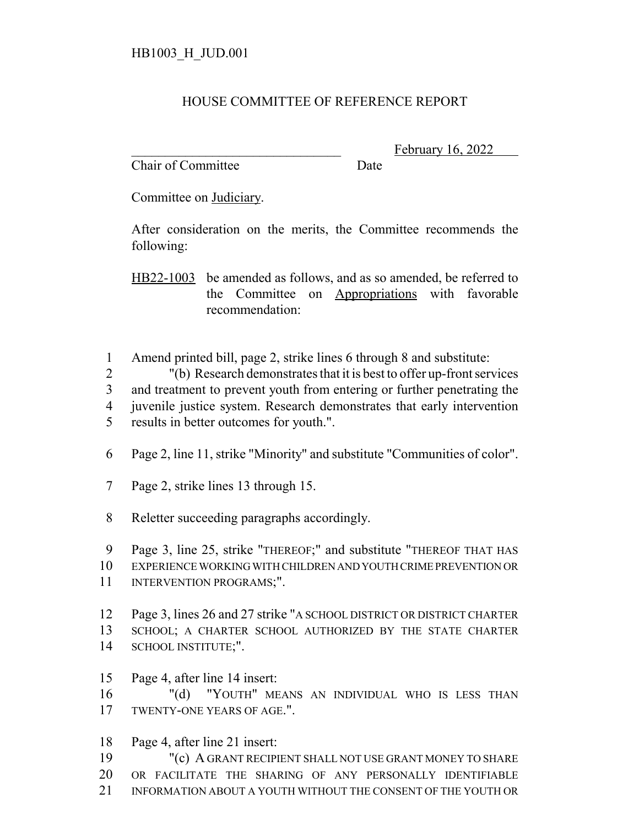## HOUSE COMMITTEE OF REFERENCE REPORT

Chair of Committee Date

February 16, 2022

Committee on Judiciary.

After consideration on the merits, the Committee recommends the following:

HB22-1003 be amended as follows, and as so amended, be referred to the Committee on Appropriations with favorable recommendation:

Amend printed bill, page 2, strike lines 6 through 8 and substitute:

"(b) Research demonstrates that it is best to offer up-front services

and treatment to prevent youth from entering or further penetrating the

- juvenile justice system. Research demonstrates that early intervention
- results in better outcomes for youth.".
- Page 2, line 11, strike "Minority" and substitute "Communities of color".
- Page 2, strike lines 13 through 15.
- Reletter succeeding paragraphs accordingly.

Page 3, line 25, strike "THEREOF;" and substitute "THEREOF THAT HAS

- EXPERIENCE WORKING WITH CHILDREN AND YOUTH CRIME PREVENTION OR
- 11 INTERVENTION PROGRAMS;".
- Page 3, lines 26 and 27 strike "A SCHOOL DISTRICT OR DISTRICT CHARTER SCHOOL; A CHARTER SCHOOL AUTHORIZED BY THE STATE CHARTER SCHOOL INSTITUTE;".
- Page 4, after line 14 insert:
- "(d) "YOUTH" MEANS AN INDIVIDUAL WHO IS LESS THAN TWENTY-ONE YEARS OF AGE.".
- Page 4, after line 21 insert:
- "(c) A GRANT RECIPIENT SHALL NOT USE GRANT MONEY TO SHARE
- OR FACILITATE THE SHARING OF ANY PERSONALLY IDENTIFIABLE
- INFORMATION ABOUT A YOUTH WITHOUT THE CONSENT OF THE YOUTH OR